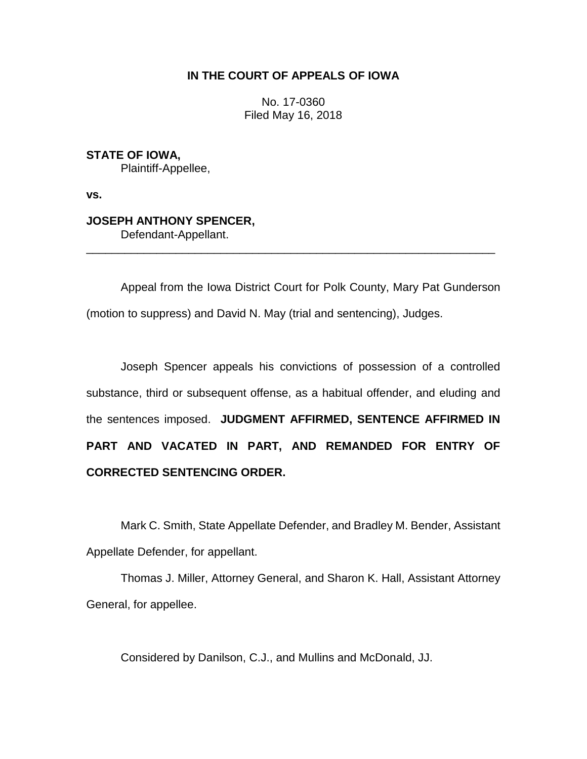# **IN THE COURT OF APPEALS OF IOWA**

No. 17-0360 Filed May 16, 2018

**STATE OF IOWA,** Plaintiff-Appellee,

**vs.**

# **JOSEPH ANTHONY SPENCER,**

Defendant-Appellant.

Appeal from the Iowa District Court for Polk County, Mary Pat Gunderson (motion to suppress) and David N. May (trial and sentencing), Judges.

\_\_\_\_\_\_\_\_\_\_\_\_\_\_\_\_\_\_\_\_\_\_\_\_\_\_\_\_\_\_\_\_\_\_\_\_\_\_\_\_\_\_\_\_\_\_\_\_\_\_\_\_\_\_\_\_\_\_\_\_\_\_\_\_

Joseph Spencer appeals his convictions of possession of a controlled substance, third or subsequent offense, as a habitual offender, and eluding and the sentences imposed. **JUDGMENT AFFIRMED, SENTENCE AFFIRMED IN PART AND VACATED IN PART, AND REMANDED FOR ENTRY OF CORRECTED SENTENCING ORDER.**

Mark C. Smith, State Appellate Defender, and Bradley M. Bender, Assistant Appellate Defender, for appellant.

Thomas J. Miller, Attorney General, and Sharon K. Hall, Assistant Attorney General, for appellee.

Considered by Danilson, C.J., and Mullins and McDonald, JJ.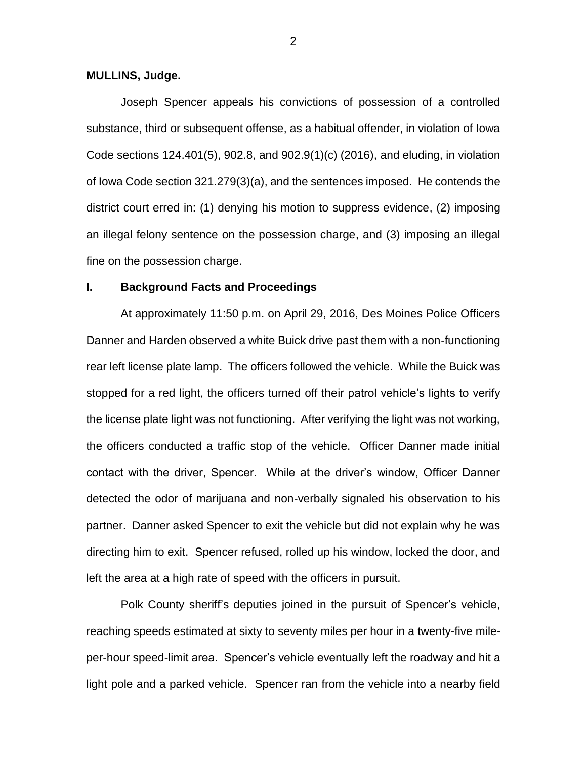## **MULLINS, Judge.**

Joseph Spencer appeals his convictions of possession of a controlled substance, third or subsequent offense, as a habitual offender, in violation of Iowa Code sections 124.401(5), 902.8, and 902.9(1)(c) (2016), and eluding, in violation of Iowa Code section 321.279(3)(a), and the sentences imposed. He contends the district court erred in: (1) denying his motion to suppress evidence, (2) imposing an illegal felony sentence on the possession charge, and (3) imposing an illegal fine on the possession charge.

# **I. Background Facts and Proceedings**

At approximately 11:50 p.m. on April 29, 2016, Des Moines Police Officers Danner and Harden observed a white Buick drive past them with a non-functioning rear left license plate lamp. The officers followed the vehicle. While the Buick was stopped for a red light, the officers turned off their patrol vehicle's lights to verify the license plate light was not functioning. After verifying the light was not working, the officers conducted a traffic stop of the vehicle. Officer Danner made initial contact with the driver, Spencer. While at the driver's window, Officer Danner detected the odor of marijuana and non-verbally signaled his observation to his partner. Danner asked Spencer to exit the vehicle but did not explain why he was directing him to exit. Spencer refused, rolled up his window, locked the door, and left the area at a high rate of speed with the officers in pursuit.

Polk County sheriff's deputies joined in the pursuit of Spencer's vehicle, reaching speeds estimated at sixty to seventy miles per hour in a twenty-five mileper-hour speed-limit area. Spencer's vehicle eventually left the roadway and hit a light pole and a parked vehicle. Spencer ran from the vehicle into a nearby field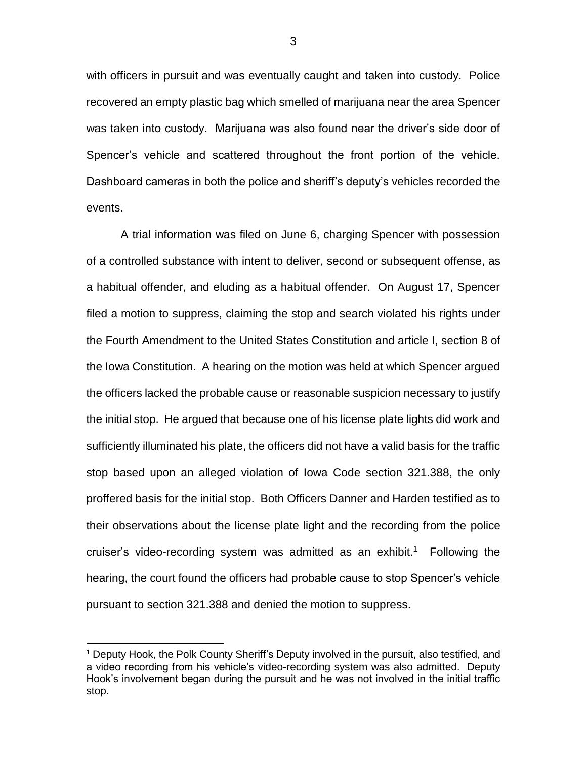with officers in pursuit and was eventually caught and taken into custody. Police recovered an empty plastic bag which smelled of marijuana near the area Spencer was taken into custody. Marijuana was also found near the driver's side door of Spencer's vehicle and scattered throughout the front portion of the vehicle. Dashboard cameras in both the police and sheriff's deputy's vehicles recorded the events.

A trial information was filed on June 6, charging Spencer with possession of a controlled substance with intent to deliver, second or subsequent offense, as a habitual offender, and eluding as a habitual offender. On August 17, Spencer filed a motion to suppress, claiming the stop and search violated his rights under the Fourth Amendment to the United States Constitution and article I, section 8 of the Iowa Constitution. A hearing on the motion was held at which Spencer argued the officers lacked the probable cause or reasonable suspicion necessary to justify the initial stop. He argued that because one of his license plate lights did work and sufficiently illuminated his plate, the officers did not have a valid basis for the traffic stop based upon an alleged violation of Iowa Code section 321.388, the only proffered basis for the initial stop. Both Officers Danner and Harden testified as to their observations about the license plate light and the recording from the police cruiser's video-recording system was admitted as an exhibit.<sup>1</sup> Following the hearing, the court found the officers had probable cause to stop Spencer's vehicle pursuant to section 321.388 and denied the motion to suppress.

 $\overline{a}$ 

<sup>1</sup> Deputy Hook, the Polk County Sheriff's Deputy involved in the pursuit, also testified, and a video recording from his vehicle's video-recording system was also admitted. Deputy Hook's involvement began during the pursuit and he was not involved in the initial traffic stop.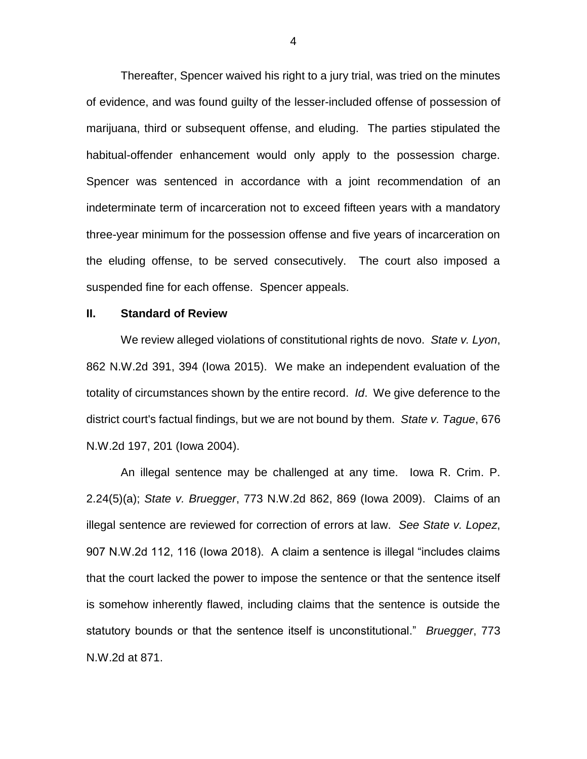Thereafter, Spencer waived his right to a jury trial, was tried on the minutes of evidence, and was found guilty of the lesser-included offense of possession of marijuana, third or subsequent offense, and eluding. The parties stipulated the habitual-offender enhancement would only apply to the possession charge. Spencer was sentenced in accordance with a joint recommendation of an indeterminate term of incarceration not to exceed fifteen years with a mandatory three-year minimum for the possession offense and five years of incarceration on the eluding offense, to be served consecutively. The court also imposed a suspended fine for each offense. Spencer appeals.

# **II. Standard of Review**

We review alleged violations of constitutional rights de novo. *State v. Lyon*, 862 N.W.2d 391, 394 (Iowa 2015). We make an independent evaluation of the totality of circumstances shown by the entire record. *Id*. We give deference to the district court's factual findings, but we are not bound by them. *State v. Tague*, 676 N.W.2d 197, 201 (Iowa 2004).

An illegal sentence may be challenged at any time. Iowa R. Crim. P. 2.24(5)(a); *State v. Bruegger*, 773 N.W.2d 862, 869 (Iowa 2009). Claims of an illegal sentence are reviewed for correction of errors at law. *See State v. Lopez*, 907 N.W.2d 112, 116 (Iowa 2018). A claim a sentence is illegal "includes claims that the court lacked the power to impose the sentence or that the sentence itself is somehow inherently flawed, including claims that the sentence is outside the statutory bounds or that the sentence itself is unconstitutional." *Bruegger*, 773 N.W.2d at 871.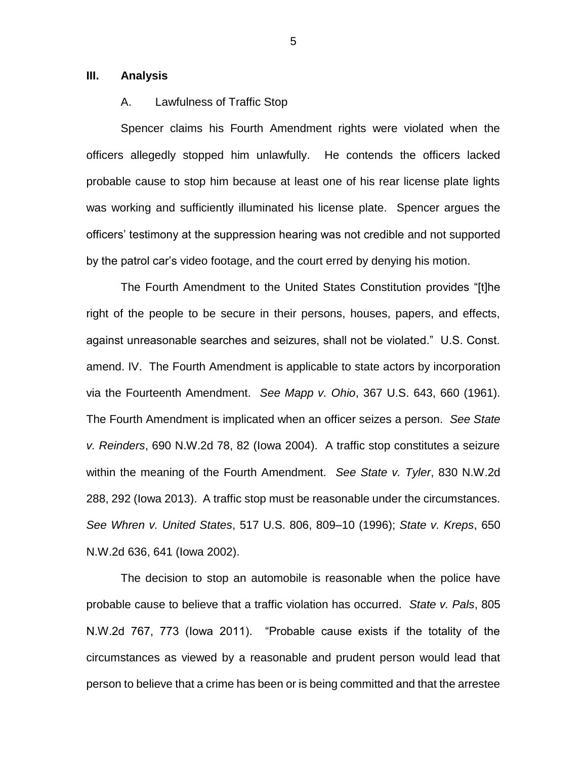### **III. Analysis**

## A. Lawfulness of Traffic Stop

Spencer claims his Fourth Amendment rights were violated when the officers allegedly stopped him unlawfully. He contends the officers lacked probable cause to stop him because at least one of his rear license plate lights was working and sufficiently illuminated his license plate. Spencer argues the officers' testimony at the suppression hearing was not credible and not supported by the patrol car's video footage, and the court erred by denying his motion.

The Fourth Amendment to the United States Constitution provides "[t]he right of the people to be secure in their persons, houses, papers, and effects, against unreasonable searches and seizures, shall not be violated." U.S. Const. amend. IV. The Fourth Amendment is applicable to state actors by incorporation via the Fourteenth Amendment. *See Mapp v. Ohio*, 367 U.S. 643, 660 (1961). The Fourth Amendment is implicated when an officer seizes a person. *See State v. Reinders*, 690 N.W.2d 78, 82 (Iowa 2004). A traffic stop constitutes a seizure within the meaning of the Fourth Amendment. *See State v. Tyler*, 830 N.W.2d 288, 292 (Iowa 2013). A traffic stop must be reasonable under the circumstances. *See Whren v. United States*, 517 U.S. 806, 809–10 (1996); *State v. Kreps*, 650 N.W.2d 636, 641 (Iowa 2002).

The decision to stop an automobile is reasonable when the police have probable cause to believe that a traffic violation has occurred. *State v. Pals*, 805 N.W.2d 767, 773 (Iowa 2011). "Probable cause exists if the totality of the circumstances as viewed by a reasonable and prudent person would lead that person to believe that a crime has been or is being committed and that the arrestee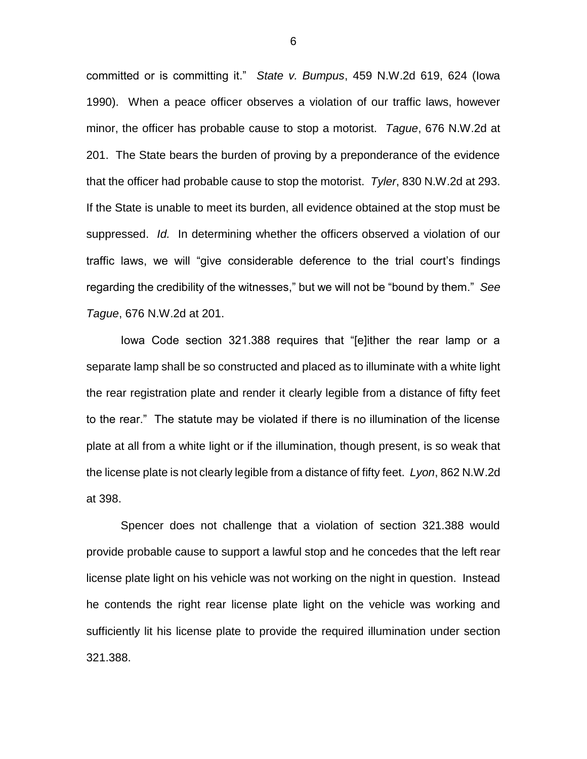committed or is committing it." *State v. Bumpus*, 459 N.W.2d 619, 624 (Iowa 1990). When a peace officer observes a violation of our traffic laws, however minor, the officer has probable cause to stop a motorist. *Tague*, 676 N.W.2d at 201. The State bears the burden of proving by a preponderance of the evidence that the officer had probable cause to stop the motorist. *Tyler*, 830 N.W.2d at 293. If the State is unable to meet its burden, all evidence obtained at the stop must be suppressed. *Id.* In determining whether the officers observed a violation of our traffic laws, we will "give considerable deference to the trial court's findings regarding the credibility of the witnesses," but we will not be "bound by them." *See Tague*, 676 N.W.2d at 201.

Iowa Code section 321.388 requires that "[e]ither the rear lamp or a separate lamp shall be so constructed and placed as to illuminate with a white light the rear registration plate and render it clearly legible from a distance of fifty feet to the rear." The statute may be violated if there is no illumination of the license plate at all from a white light or if the illumination, though present, is so weak that the license plate is not clearly legible from a distance of fifty feet. *Lyon*, 862 N.W.2d at 398.

Spencer does not challenge that a violation of section 321.388 would provide probable cause to support a lawful stop and he concedes that the left rear license plate light on his vehicle was not working on the night in question. Instead he contends the right rear license plate light on the vehicle was working and sufficiently lit his license plate to provide the required illumination under section 321.388.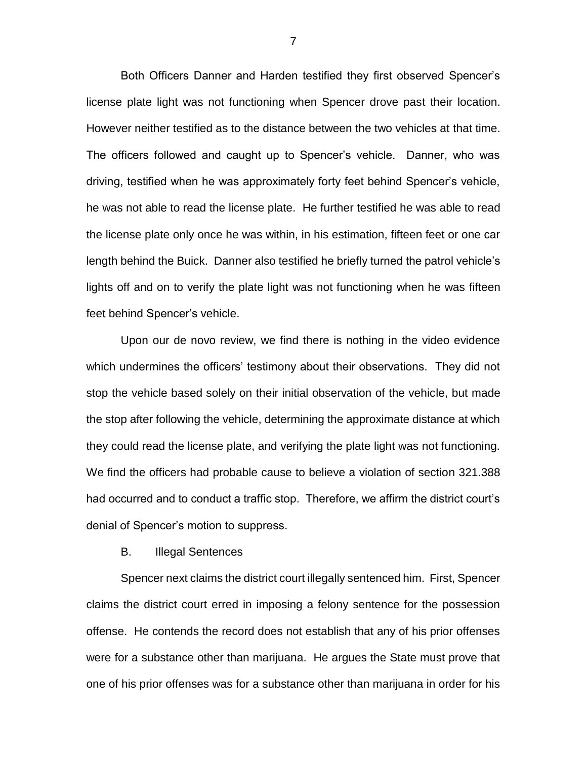Both Officers Danner and Harden testified they first observed Spencer's license plate light was not functioning when Spencer drove past their location. However neither testified as to the distance between the two vehicles at that time. The officers followed and caught up to Spencer's vehicle. Danner, who was driving, testified when he was approximately forty feet behind Spencer's vehicle, he was not able to read the license plate. He further testified he was able to read the license plate only once he was within, in his estimation, fifteen feet or one car length behind the Buick. Danner also testified he briefly turned the patrol vehicle's lights off and on to verify the plate light was not functioning when he was fifteen feet behind Spencer's vehicle.

Upon our de novo review, we find there is nothing in the video evidence which undermines the officers' testimony about their observations. They did not stop the vehicle based solely on their initial observation of the vehicle, but made the stop after following the vehicle, determining the approximate distance at which they could read the license plate, and verifying the plate light was not functioning. We find the officers had probable cause to believe a violation of section 321.388 had occurred and to conduct a traffic stop. Therefore, we affirm the district court's denial of Spencer's motion to suppress.

### B. Illegal Sentences

Spencer next claims the district court illegally sentenced him. First, Spencer claims the district court erred in imposing a felony sentence for the possession offense. He contends the record does not establish that any of his prior offenses were for a substance other than marijuana. He argues the State must prove that one of his prior offenses was for a substance other than marijuana in order for his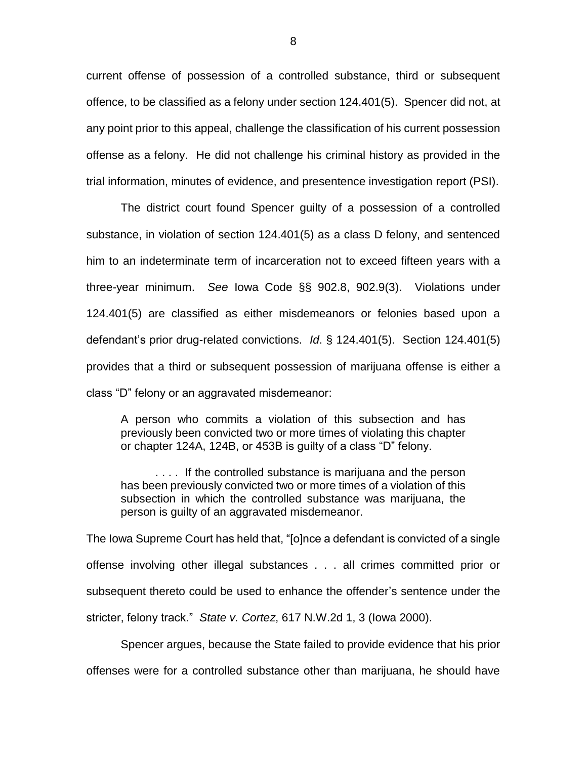current offense of possession of a controlled substance, third or subsequent offence, to be classified as a felony under section 124.401(5). Spencer did not, at any point prior to this appeal, challenge the classification of his current possession offense as a felony. He did not challenge his criminal history as provided in the trial information, minutes of evidence, and presentence investigation report (PSI).

The district court found Spencer guilty of a possession of a controlled substance, in violation of section 124.401(5) as a class D felony, and sentenced him to an indeterminate term of incarceration not to exceed fifteen years with a three-year minimum. *See* Iowa Code §§ 902.8, 902.9(3). Violations under 124.401(5) are classified as either misdemeanors or felonies based upon a defendant's prior drug-related convictions. *Id*. § 124.401(5). Section 124.401(5) provides that a third or subsequent possession of marijuana offense is either a class "D" felony or an aggravated misdemeanor:

A person who commits a violation of this subsection and has previously been convicted two or more times of violating this chapter or chapter 124A, 124B, or 453B is guilty of a class "D" felony.

. . . . If the controlled substance is marijuana and the person has been previously convicted two or more times of a violation of this subsection in which the controlled substance was marijuana, the person is guilty of an aggravated misdemeanor.

The Iowa Supreme Court has held that, "[o]nce a defendant is convicted of a single offense involving other illegal substances . . . all crimes committed prior or subsequent thereto could be used to enhance the offender's sentence under the stricter, felony track." *State v. Cortez*, 617 N.W.2d 1, 3 (Iowa 2000).

Spencer argues, because the State failed to provide evidence that his prior offenses were for a controlled substance other than marijuana, he should have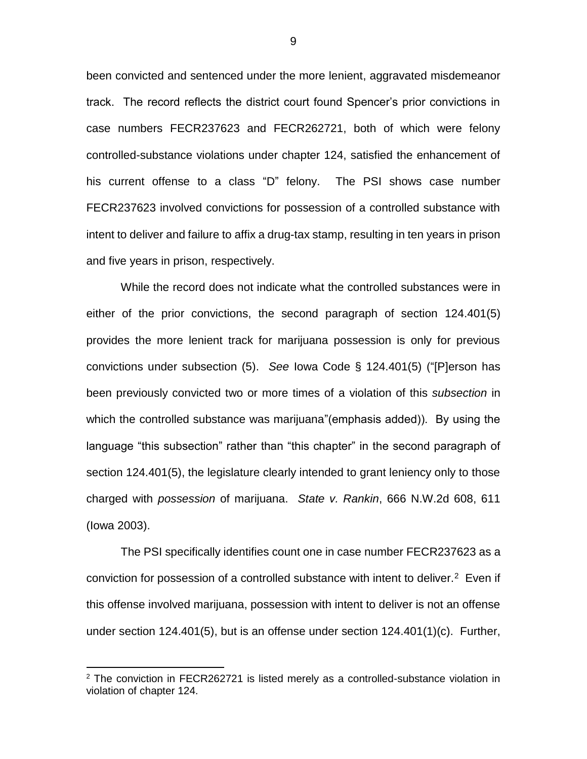been convicted and sentenced under the more lenient, aggravated misdemeanor track. The record reflects the district court found Spencer's prior convictions in case numbers FECR237623 and FECR262721, both of which were felony controlled-substance violations under chapter 124, satisfied the enhancement of his current offense to a class "D" felony. The PSI shows case number FECR237623 involved convictions for possession of a controlled substance with intent to deliver and failure to affix a drug-tax stamp, resulting in ten years in prison and five years in prison, respectively.

While the record does not indicate what the controlled substances were in either of the prior convictions, the second paragraph of section 124.401(5) provides the more lenient track for marijuana possession is only for previous convictions under subsection (5). *See* Iowa Code § 124.401(5) ("[P]erson has been previously convicted two or more times of a violation of this *subsection* in which the controlled substance was marijuana"(emphasis added)). By using the language "this subsection" rather than "this chapter" in the second paragraph of section 124.401(5), the legislature clearly intended to grant leniency only to those charged with *possession* of marijuana. *State v. Rankin*, 666 N.W.2d 608, 611 (Iowa 2003).

The PSI specifically identifies count one in case number FECR237623 as a conviction for possession of a controlled substance with intent to deliver. $2$  Even if this offense involved marijuana, possession with intent to deliver is not an offense under section 124.401(5), but is an offense under section 124.401(1)(c). Further,

 $\overline{a}$ 

<sup>&</sup>lt;sup>2</sup> The conviction in FECR262721 is listed merely as a controlled-substance violation in violation of chapter 124.